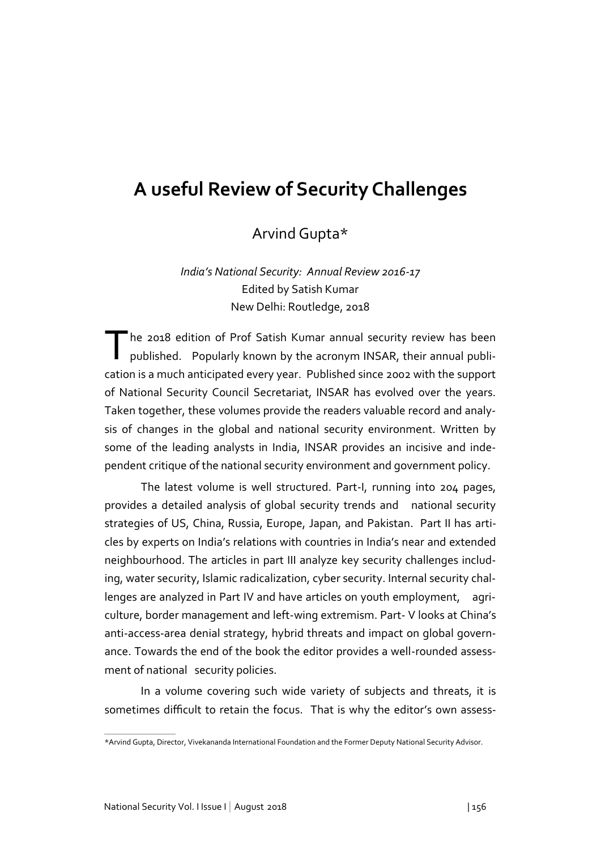## **A useful Review of Security Challenges**

Arvind Gupta\*

*India's National Security: Annual Review 2016-17* Edited by Satish Kumar New Delhi: Routledge, 2018

The 2018 edition of Prof Satish Kumar annual security review has been<br>published. Popularly known by the acronym INSAR, their annual publihe 2018 edition of Prof Satish Kumar annual security review has been cation is a much anticipated every year. Published since 2002 with the support of National Security Council Secretariat, INSAR has evolved over the years. Taken together, these volumes provide the readers valuable record and analysis of changes in the global and national security environment. Written by some of the leading analysts in India, INSAR provides an incisive and independent critique of the national security environment and government policy.

The latest volume is well structured. Part-I, running into 204 pages, provides a detailed analysis of global security trends and national security strategies of US, China, Russia, Europe, Japan, and Pakistan. Part II has articles by experts on India's relations with countries in India's near and extended neighbourhood. The articles in part III analyze key security challenges including, water security, Islamic radicalization, cyber security. Internal security challenges are analyzed in Part IV and have articles on youth employment, agriculture, border management and left-wing extremism. Part- V looks at China's anti-access-area denial strategy, hybrid threats and impact on global governance. Towards the end of the book the editor provides a well-rounded assessment of national security policies.

In a volume covering such wide variety of subjects and threats, it is sometimes difficult to retain the focus. That is why the editor's own assess-

<sup>\*</sup>Arvind Gupta, Director, Vivekananda International Foundation and the Former Deputy National Security Advisor.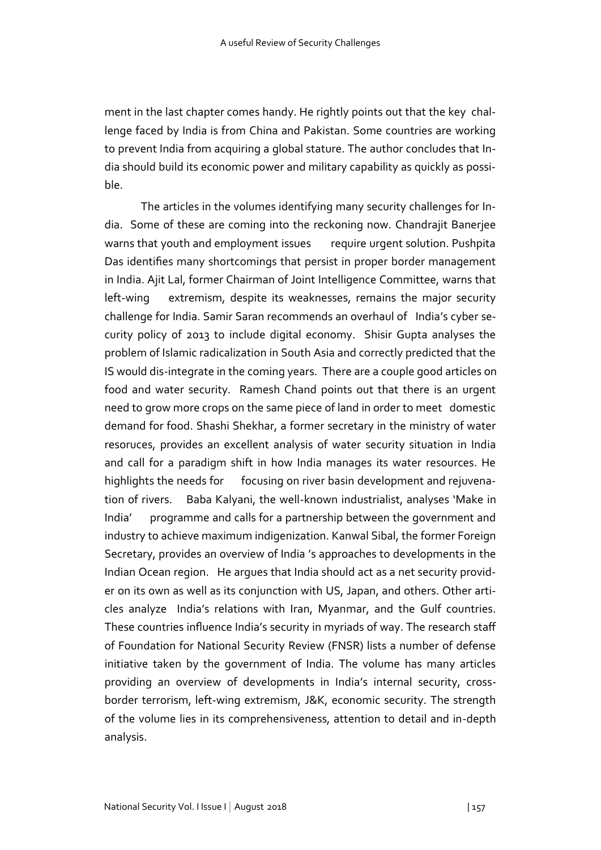ment in the last chapter comes handy. He rightly points out that the key challenge faced by India is from China and Pakistan. Some countries are working to prevent India from acquiring a global stature. The author concludes that India should build its economic power and military capability as quickly as possible.

The articles in the volumes identifying many security challenges for India. Some of these are coming into the reckoning now. Chandrajit Banerjee warns that youth and employment issues require urgent solution. Pushpita Das identifies many shortcomings that persist in proper border management in India. Ajit Lal, former Chairman of Joint Intelligence Committee, warns that left-wing extremism, despite its weaknesses, remains the major security challenge for India. Samir Saran recommends an overhaul of India's cyber security policy of 2013 to include digital economy. Shisir Gupta analyses the problem of Islamic radicalization in South Asia and correctly predicted that the IS would dis-integrate in the coming years. There are a couple good articles on food and water security. Ramesh Chand points out that there is an urgent need to grow more crops on the same piece of land in order to meet domestic demand for food. Shashi Shekhar, a former secretary in the ministry of water resoruces, provides an excellent analysis of water security situation in India and call for a paradigm shift in how India manages its water resources. He highlights the needs for focusing on river basin development and rejuvenation of rivers. Baba Kalyani, the well-known industrialist, analyses 'Make in India' programme and calls for a partnership between the government and industry to achieve maximum indigenization. Kanwal Sibal, the former Foreign Secretary, provides an overview of India 's approaches to developments in the Indian Ocean region. He argues that India should act as a net security provider on its own as well as its conjunction with US, Japan, and others. Other articles analyze India's relations with Iran, Myanmar, and the Gulf countries. These countries influence India's security in myriads of way. The research staff of Foundation for National Security Review (FNSR) lists a number of defense initiative taken by the government of India. The volume has many articles providing an overview of developments in India's internal security, crossborder terrorism, left-wing extremism, J&K, economic security. The strength of the volume lies in its comprehensiveness, attention to detail and in-depth analysis.